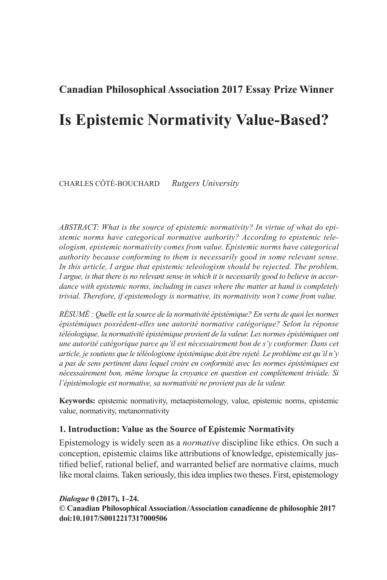# **Canadian Philosophical Association 2017 Essay Prize Winner**

# **Is Epistemic Normativity Value-Based?**

CHARLES CÔTÉ-BOUCHARD *Rutgers University* 

 *ABSTRACT: What is the source of epistemic normativity? In virtue of what do epistemic norms have categorical normative authority? According to epistemic teleologism, epistemic normativity comes from value. Epistemic norms have categorical authority because conforming to them is necessarily good in some relevant sense.*  In this article, I argue that epistemic teleologism should be rejected. The problem, *I argue, is that there is no relevant sense in which it is necessarily good to believe in accordance with epistemic norms, including in cases where the matter at hand is completely trivial. Therefore, if epistemology is normative, its normativity won't come from value.* 

 *RÉSUMÉ : Quelle est la source de la normativité épistémique? En vertu de quoi les normes épistémiques possèdent-elles une autorité normative catégorique? Selon la réponse*  téléologique, la normativité épistémique provient de la valeur. Les normes épistémiques ont *une autorité catégorique parce qu'il est nécessairement bon de s'y conformer. Dans cet article, je soutiens que le téléologisme épistémique doit être rejeté. Le problème est qu'il n'y a pas de sens pertinent dans lequel croire en conformité avec les normes épistémiques est nécessairement bon, même lorsque la croyance en question est complètement triviale. Si l'épistémologie est normative, sa normativité ne provient pas de la valeur.* 

**Keywords:** epistemic normativity, metaepistemology, value, epistemic norms, epistemic value, normativity, metanormativity

## **1. Introduction: Value as the Source of Epistemic Normativity**

 Epistemology is widely seen as a *normative* discipline like ethics. On such a conception, epistemic claims like attributions of knowledge, epistemically justified belief, rational belief, and warranted belief are normative claims, much like moral claims. Taken seriously, this idea implies two theses. First, epistemology

*Dialogue* 0 (2017), 1–24. **© Canadian Philosophical Association /Association canadienne de philosophie 2017 doi:10.1017/S0012217317000506**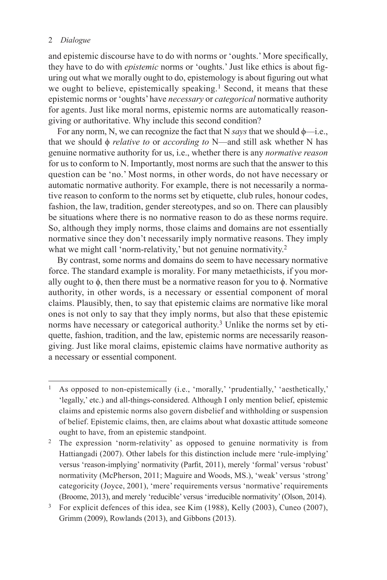and epistemic discourse have to do with norms or 'oughts.' More specifically, they have to do with *epistemic* norms or 'oughts.' Just like ethics is about figuring out what we morally ought to do, epistemology is about figuring out what we ought to believe, epistemically speaking.<sup>1</sup> Second, it means that these epistemic norms or 'oughts' have *necessary* or *categorical* normative authority for agents. Just like moral norms, epistemic norms are automatically reasongiving or authoritative. Why include this second condition?

For any norm, N, we can recognize the fact that N *says* that we should φ—i.e., that we should ϕ *relative to* or *according to* N—and still ask whether N has genuine normative authority for us, i.e., whether there is any *normative reason* for us to conform to N. Importantly, most norms are such that the answer to this question can be 'no.' Most norms, in other words, do not have necessary or automatic normative authority. For example, there is not necessarily a normative reason to conform to the norms set by etiquette, club rules, honour codes, fashion, the law, tradition, gender stereotypes, and so on. There can plausibly be situations where there is no normative reason to do as these norms require. So, although they imply norms, those claims and domains are not essentially normative since they don't necessarily imply normative reasons. They imply what we might call 'norm-relativity,' but not genuine normativity.<sup>2</sup>

 By contrast, some norms and domains do seem to have necessary normative force. The standard example is morality. For many metaethicists, if you morally ought to  $\phi$ , then there must be a normative reason for you to  $\phi$ . Normative authority, in other words, is a necessary or essential component of moral claims. Plausibly, then, to say that epistemic claims are normative like moral ones is not only to say that they imply norms, but also that these epistemic norms have necessary or categorical authority.<sup>3</sup> Unlike the norms set by etiquette, fashion, tradition, and the law, epistemic norms are necessarily reasongiving. Just like moral claims, epistemic claims have normative authority as a necessary or essential component.

<sup>&</sup>lt;sup>1</sup> As opposed to non-epistemically (i.e., 'morally,' 'prudentially,' 'aesthetically,' 'legally,' etc.) and all-things-considered. Although I only mention belief, epistemic claims and epistemic norms also govern disbelief and withholding or suspension of belief. Epistemic claims, then, are claims about what doxastic attitude someone ought to have, from an epistemic standpoint.

<sup>2</sup> The expression 'norm-relativity' as opposed to genuine normativity is from Hattiangadi (2007). Other labels for this distinction include mere 'rule-implying' versus 'reason-implying' normativity (Parfit, 2011), merely 'formal' versus 'robust' normativity (McPherson, 2011; Maguire and Woods, MS.), 'weak' versus 'strong' categoricity (Joyce, 2001), 'mere' requirements versus 'normative' requirements (Broome, 2013), and merely 'reducible' versus 'irreducible normativity' (Olson, 2014).

<sup>&</sup>lt;sup>3</sup> For explicit defences of this idea, see Kim (1988), Kelly (2003), Cuneo (2007), Grimm (2009), Rowlands (2013), and Gibbons (2013).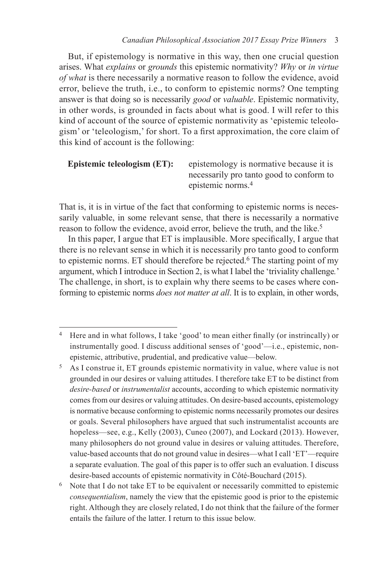But, if epistemology is normative in this way, then one crucial question arises. What *explains* or *grounds* this epistemic normativity? *Why* or *in virtue of what* is there necessarily a normative reason to follow the evidence, avoid error, believe the truth, i.e., to conform to epistemic norms? One tempting answer is that doing so is necessarily *good* or *valuable* . Epistemic normativity, in other words, is grounded in facts about what is good. I will refer to this kind of account of the source of epistemic normativity as 'epistemic teleologism' or 'teleologism,' for short. To a first approximation, the core claim of this kind of account is the following:

# **Epistemic teleologism (ET):** epistemology is normative because it is necessarily pro tanto good to conform to epistemic norms. 4

That is, it is in virtue of the fact that conforming to epistemic norms is necessarily valuable, in some relevant sense, that there is necessarily a normative reason to follow the evidence, avoid error, believe the truth, and the like. 5

In this paper, I argue that  $ET$  is implausible. More specifically, I argue that there is no relevant sense in which it is necessarily pro tanto good to conform to epistemic norms. ET should therefore be rejected. 6 The starting point of my argument, which I introduce in Section 2 , is what I label the 'triviality challenge *.* ' The challenge, in short, is to explain why there seems to be cases where conforming to epistemic norms *does not matter at all* . It is to explain, in other words,

<sup>&</sup>lt;sup>4</sup> Here and in what follows, I take 'good' to mean either finally (or instrincally) or instrumentally good. I discuss additional senses of 'good'—i.e., epistemic, nonepistemic, attributive, prudential, and predicative value—below.

<sup>5</sup> As I construe it, ET grounds epistemic normativity in value, where value is not grounded in our desires or valuing attitudes. I therefore take ET to be distinct from *desire-based* or *instrumentalist* accounts, according to which epistemic normativity comes from our desires or valuing attitudes. On desire-based accounts, epistemology is normative because conforming to epistemic norms necessarily promotes our desires or goals. Several philosophers have argued that such instrumentalist accounts are hopeless—see, e.g., Kelly (2003), Cuneo (2007), and Lockard (2013). However, many philosophers do not ground value in desires or valuing attitudes. Therefore, value-based accounts that do not ground value in desires—what I call 'ET'—require a separate evaluation. The goal of this paper is to offer such an evaluation. I discuss desire-based accounts of epistemic normativity in Côté-Bouchard (2015).

<sup>6</sup> Note that I do not take ET to be equivalent or necessarily committed to epistemic *consequentialism*, namely the view that the epistemic good is prior to the epistemic right. Although they are closely related, I do not think that the failure of the former entails the failure of the latter. I return to this issue below.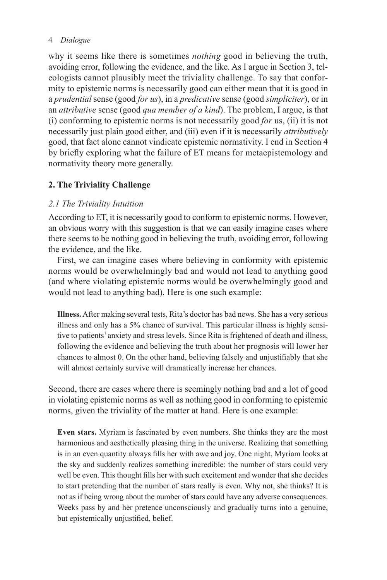why it seems like there is sometimes *nothing* good in believing the truth, avoiding error, following the evidence, and the like. As I argue in Section 3 , teleologists cannot plausibly meet the triviality challenge. To say that conformity to epistemic norms is necessarily good can either mean that it is good in a *prudential* sense (good *for us* ), in a *predicative* sense (good *simpliciter* ), or in an *attributive* sense (good *qua member of a kind* ). The problem, I argue, is that (i) conforming to epistemic norms is not necessarily good *for* us, (ii) it is not necessarily just plain good either, and (iii) even if it is necessarily *attributively* good, that fact alone cannot vindicate epistemic normativity. I end in Section 4 by briefly exploring what the failure of ET means for metaepistemology and normativity theory more generally.

# **2. The Triviality Challenge**

## *2.1 The Triviality Intuition*

 According to ET, it is necessarily good to conform to epistemic norms. However, an obvious worry with this suggestion is that we can easily imagine cases where there seems to be nothing good in believing the truth, avoiding error, following the evidence, and the like.

 First, we can imagine cases where believing in conformity with epistemic norms would be overwhelmingly bad and would not lead to anything good (and where violating epistemic norms would be overwhelmingly good and would not lead to anything bad). Here is one such example:

**Illness.** After making several tests, Rita's doctor has bad news. She has a very serious illness and only has a 5% chance of survival. This particular illness is highly sensitive to patients' anxiety and stress levels. Since Rita is frightened of death and illness, following the evidence and believing the truth about her prognosis will lower her chances to almost 0. On the other hand, believing falsely and unjustifiably that she will almost certainly survive will dramatically increase her chances.

Second, there are cases where there is seemingly nothing bad and a lot of good in violating epistemic norms as well as nothing good in conforming to epistemic norms, given the triviality of the matter at hand. Here is one example:

**Even stars.** Myriam is fascinated by even numbers. She thinks they are the most harmonious and aesthetically pleasing thing in the universe. Realizing that something is in an even quantity always fills her with awe and joy. One night, Myriam looks at the sky and suddenly realizes something incredible: the number of stars could very well be even. This thought fills her with such excitement and wonder that she decides to start pretending that the number of stars really is even. Why not, she thinks? It is not as if being wrong about the number of stars could have any adverse consequences. Weeks pass by and her pretence unconsciously and gradually turns into a genuine, but epistemically unjustified, belief.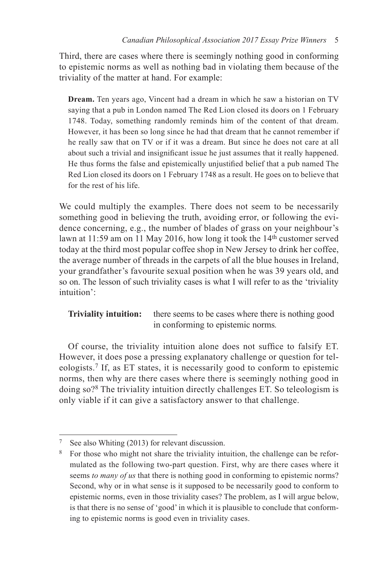Third, there are cases where there is seemingly nothing good in conforming to epistemic norms as well as nothing bad in violating them because of the triviality of the matter at hand. For example:

**Dream.** Ten years ago, Vincent had a dream in which he saw a historian on TV saying that a pub in London named The Red Lion closed its doors on 1 February 1748. Today, something randomly reminds him of the content of that dream. However, it has been so long since he had that dream that he cannot remember if he really saw that on TV or if it was a dream. But since he does not care at all about such a trivial and insignificant issue he just assumes that it really happened. He thus forms the false and epistemically unjustified belief that a pub named The Red Lion closed its doors on 1 February 1748 as a result. He goes on to believe that for the rest of his life.

We could multiply the examples. There does not seem to be necessarily something good in believing the truth, avoiding error, or following the evidence concerning, e.g., the number of blades of grass on your neighbour's lawn at  $11:59$  am on 11 May 2016, how long it took the  $14<sup>th</sup>$  customer served today at the third most popular coffee shop in New Jersey to drink her coffee, the average number of threads in the carpets of all the blue houses in Ireland, your grandfather's favourite sexual position when he was 39 years old, and so on. The lesson of such triviality cases is what I will refer to as the 'triviality intuition':

**Triviality intuition:** there seems to be cases where there is nothing good in conforming to epistemic norms.

Of course, the triviality intuition alone does not suffice to falsify ET. However, it does pose a pressing explanatory challenge or question for teleologists. 7 If, as ET states, it is necessarily good to conform to epistemic norms, then why are there cases where there is seemingly nothing good in doing so?<sup>8</sup> The triviality intuition directly challenges ET. So teleologism is only viable if it can give a satisfactory answer to that challenge.

<sup>&</sup>lt;sup>7</sup> See also Whiting (2013) for relevant discussion.

<sup>&</sup>lt;sup>8</sup> For those who might not share the triviality intuition, the challenge can be reformulated as the following two-part question. First, why are there cases where it seems *to many of us* that there is nothing good in conforming to epistemic norms? Second, why or in what sense is it supposed to be necessarily good to conform to epistemic norms, even in those triviality cases? The problem, as I will argue below, is that there is no sense of 'good' in which it is plausible to conclude that conforming to epistemic norms is good even in triviality cases.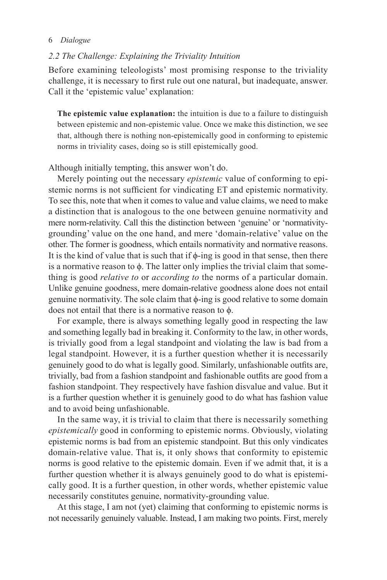#### *2.2 The Challenge: Explaining the Triviality Intuition*

 Before examining teleologists' most promising response to the triviality challenge, it is necessary to first rule out one natural, but inadequate, answer. Call it the 'epistemic value' explanation:

**The epistemic value explanation:** the intuition is due to a failure to distinguish between epistemic and non-epistemic value. Once we make this distinction, we see that, although there is nothing non-epistemically good in conforming to epistemic norms in triviality cases, doing so is still epistemically good.

Although initially tempting, this answer won't do.

 Merely pointing out the necessary *epistemic* value of conforming to epistemic norms is not sufficient for vindicating ET and epistemic normativity. To see this, note that when it comes to value and value claims, we need to make a distinction that is analogous to the one between genuine normativity and mere norm-relativity. Call this the distinction between 'genuine' or 'normativitygrounding' value on the one hand, and mere 'domain-relative' value on the other. The former is goodness, which entails normativity and normative reasons. It is the kind of value that is such that if  $\phi$ -ing is good in that sense, then there is a normative reason to  $\phi$ . The latter only implies the trivial claim that something is good *relative to* or *according to* the norms of a particular domain. Unlike genuine goodness, mere domain-relative goodness alone does not entail genuine normativity. The sole claim that ϕ -ing is good relative to some domain does not entail that there is a normative reason to  $\phi$ .

 For example, there is always something legally good in respecting the law and something legally bad in breaking it. Conformity to the law, in other words, is trivially good from a legal standpoint and violating the law is bad from a legal standpoint. However, it is a further question whether it is necessarily genuinely good to do what is legally good. Similarly, unfashionable outfits are, trivially, bad from a fashion standpoint and fashionable outfits are good from a fashion standpoint. They respectively have fashion disvalue and value. But it is a further question whether it is genuinely good to do what has fashion value and to avoid being unfashionable.

 In the same way, it is trivial to claim that there is necessarily something *epistemically* good in conforming to epistemic norms. Obviously, violating epistemic norms is bad from an epistemic standpoint. But this only vindicates domain-relative value. That is, it only shows that conformity to epistemic norms is good relative to the epistemic domain. Even if we admit that, it is a further question whether it is always genuinely good to do what is epistemically good. It is a further question, in other words, whether epistemic value necessarily constitutes genuine, normativity-grounding value.

 At this stage, I am not (yet) claiming that conforming to epistemic norms is not necessarily genuinely valuable. Instead, I am making two points. First, merely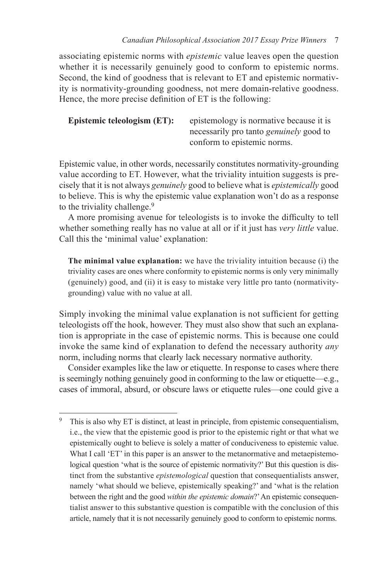associating epistemic norms with *epistemic* value leaves open the question whether it is necessarily genuinely good to conform to epistemic norms. Second, the kind of goodness that is relevant to ET and epistemic normativity is normativity-grounding goodness, not mere domain-relative goodness. Hence, the more precise definition of ET is the following:

```
Epistemic teleologism (ET): epistemology is normative because it is
                    necessarily pro tanto genuinely good to 
                    conform to epistemic norms.
```
Epistemic value, in other words, necessarily constitutes normativity-grounding value according to ET. However, what the triviality intuition suggests is precisely that it is not always *genuinely* good to believe what is *epistemically* good to believe. This is why the epistemic value explanation won't do as a response to the triviality challenge.<sup>9</sup>

A more promising avenue for teleologists is to invoke the difficulty to tell whether something really has no value at all or if it just has *very little* value. Call this the 'minimal value' explanation:

**The minimal value explanation:** we have the triviality intuition because (i) the triviality cases are ones where conformity to epistemic norms is only very minimally (genuinely) good, and (ii) it is easy to mistake very little pro tanto (normativitygrounding) value with no value at all.

Simply invoking the minimal value explanation is not sufficient for getting teleologists off the hook, however. They must also show that such an explanation is appropriate in the case of epistemic norms. This is because one could invoke the same kind of explanation to defend the necessary authority *any* norm, including norms that clearly lack necessary normative authority.

 Consider examples like the law or etiquette. In response to cases where there is seemingly nothing genuinely good in conforming to the law or etiquette—e.g., cases of immoral, absurd, or obscure laws or etiquette rules—one could give a

<sup>9</sup> This is also why ET is distinct, at least in principle, from epistemic consequentialism, i.e., the view that the epistemic good is prior to the epistemic right or that what we epistemically ought to believe is solely a matter of conduciveness to epistemic value. What I call 'ET' in this paper is an answer to the metanormative and metaepistemological question 'what is the source of epistemic normativity?' But this question is distinct from the substantive *epistemological* question that consequentialists answer, namely 'what should we believe, epistemically speaking?' and 'what is the relation between the right and the good *within the epistemic domain*?' An epistemic consequentialist answer to this substantive question is compatible with the conclusion of this article, namely that it is not necessarily genuinely good to conform to epistemic norms.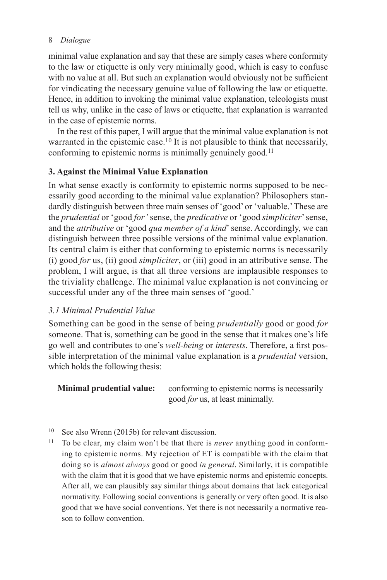minimal value explanation and say that these are simply cases where conformity to the law or etiquette is only very minimally good, which is easy to confuse with no value at all. But such an explanation would obviously not be sufficient for vindicating the necessary genuine value of following the law or etiquette. Hence, in addition to invoking the minimal value explanation, teleologists must tell us why, unlike in the case of laws or etiquette, that explanation is warranted in the case of epistemic norms.

 In the rest of this paper, I will argue that the minimal value explanation is not warranted in the epistemic case.<sup>10</sup> It is not plausible to think that necessarily, conforming to epistemic norms is minimally genuinely good.<sup>11</sup>

# **3. Against the Minimal Value Explanation**

 In what sense exactly is conformity to epistemic norms supposed to be necessarily good according to the minimal value explanation? Philosophers standardly distinguish between three main senses of 'good' or 'valuable.' These are the *prudential* or 'good *for'* sense, the *predicative* or 'good *simpliciter* ' sense, and the *attributive* or 'good *qua member of a kind*' sense. Accordingly, we can distinguish between three possible versions of the minimal value explanation. Its central claim is either that conforming to epistemic norms is necessarily (i) good *for* us, (ii) good *simpliciter* , or (iii) good in an attributive sense. The problem, I will argue, is that all three versions are implausible responses to the triviality challenge. The minimal value explanation is not convincing or successful under any of the three main senses of 'good.'

## *3.1 Minimal Prudential Value*

 Something can be good in the sense of being *prudentially* good or good *for* someone. That is, something can be good in the sense that it makes one's life go well and contributes to one's *well-being* or *interests*. Therefore, a first possible interpretation of the minimal value explanation is a *prudential* version, which holds the following thesis:

**Minimal prudential value:** conforming to epistemic norms is necessarily good *for* us, at least minimally.

 $10$  See also Wrenn (2015b) for relevant discussion.

<sup>11</sup> To be clear, my claim won't be that there is *never* anything good in conforming to epistemic norms. My rejection of ET is compatible with the claim that doing so is *almost always* good or good *in general* . Similarly, it is compatible with the claim that it is good that we have epistemic norms and epistemic concepts. After all, we can plausibly say similar things about domains that lack categorical normativity. Following social conventions is generally or very often good. It is also good that we have social conventions. Yet there is not necessarily a normative reason to follow convention.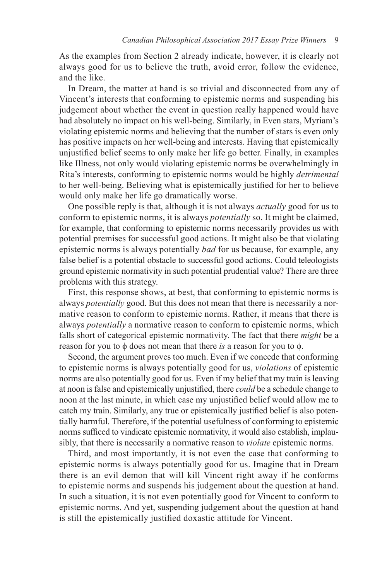As the examples from Section 2 already indicate, however, it is clearly not always good for us to believe the truth, avoid error, follow the evidence, and the like.

 In Dream, the matter at hand is so trivial and disconnected from any of Vincent's interests that conforming to epistemic norms and suspending his judgement about whether the event in question really happened would have had absolutely no impact on his well-being. Similarly, in Even stars, Myriam's violating epistemic norms and believing that the number of stars is even only has positive impacts on her well-being and interests. Having that epistemically unjustified belief seems to only make her life go better. Finally, in examples like Illness, not only would violating epistemic norms be overwhelmingly in Rita's interests, conforming to epistemic norms would be highly *detrimental* to her well-being. Believing what is epistemically justified for her to believe would only make her life go dramatically worse.

 One possible reply is that, although it is not always *actually* good for us to conform to epistemic norms, it is always *potentially* so. It might be claimed, for example, that conforming to epistemic norms necessarily provides us with potential premises for successful good actions. It might also be that violating epistemic norms is always potentially *bad* for us because, for example, any false belief is a potential obstacle to successful good actions. Could teleologists ground epistemic normativity in such potential prudential value? There are three problems with this strategy.

 First, this response shows, at best, that conforming to epistemic norms is always *potentially* good. But this does not mean that there is necessarily a normative reason to conform to epistemic norms. Rather, it means that there is always *potentially* a normative reason to conform to epistemic norms, which falls short of categorical epistemic normativity. The fact that there *might* be a reason for you to  $\phi$  does not mean that there *is* a reason for you to  $\phi$ .

 Second, the argument proves too much. Even if we concede that conforming to epistemic norms is always potentially good for us, *violations* of epistemic norms are also potentially good for us. Even if my belief that my train is leaving at noon is false and epistemically unjustified, there *could* be a schedule change to noon at the last minute, in which case my unjustified belief would allow me to catch my train. Similarly, any true or epistemically justified belief is also potentially harmful. Therefore, if the potential usefulness of conforming to epistemic norms sufficed to vindicate epistemic normativity, it would also establish, implausibly, that there is necessarily a normative reason to *violate* epistemic norms.

 Third, and most importantly, it is not even the case that conforming to epistemic norms is always potentially good for us. Imagine that in Dream there is an evil demon that will kill Vincent right away if he conforms to epistemic norms and suspends his judgement about the question at hand. In such a situation, it is not even potentially good for Vincent to conform to epistemic norms. And yet, suspending judgement about the question at hand is still the epistemically justified doxastic attitude for Vincent.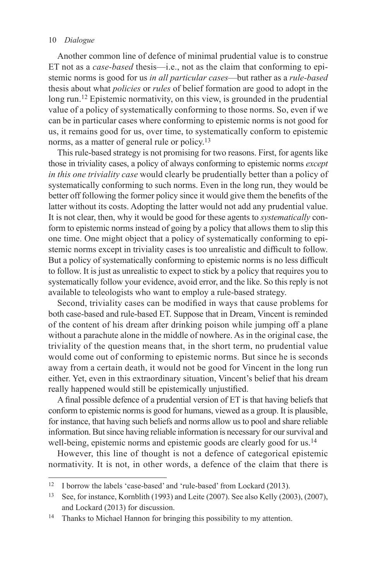Another common line of defence of minimal prudential value is to construe ET not as a *case-based* thesis—i.e., not as the claim that conforming to epistemic norms is good for us *in all particular cases* —but rather as a *rule-based* thesis about what *policies* or *rules* of belief formation are good to adopt in the long run.<sup>12</sup> Epistemic normativity, on this view, is grounded in the prudential value of a policy of systematically conforming to those norms. So, even if we can be in particular cases where conforming to epistemic norms is not good for us, it remains good for us, over time, to systematically conform to epistemic norms, as a matter of general rule or policy.<sup>13</sup>

 This rule-based strategy is not promising for two reasons. First, for agents like those in triviality cases, a policy of always conforming to epistemic norms *except in this one triviality case* would clearly be prudentially better than a policy of systematically conforming to such norms. Even in the long run, they would be better off following the former policy since it would give them the benefits of the latter without its costs. Adopting the latter would not add any prudential value. It is not clear, then, why it would be good for these agents to *systematically* conform to epistemic norms instead of going by a policy that allows them to slip this one time. One might object that a policy of systematically conforming to epistemic norms except in triviality cases is too unrealistic and difficult to follow. But a policy of systematically conforming to epistemic norms is no less difficult to follow. It is just as unrealistic to expect to stick by a policy that requires you to systematically follow your evidence, avoid error, and the like. So this reply is not available to teleologists who want to employ a rule-based strategy.

Second, triviality cases can be modified in ways that cause problems for both case-based and rule-based ET. Suppose that in Dream, Vincent is reminded of the content of his dream after drinking poison while jumping off a plane without a parachute alone in the middle of nowhere. As in the original case, the triviality of the question means that, in the short term, no prudential value would come out of conforming to epistemic norms. But since he is seconds away from a certain death, it would not be good for Vincent in the long run either. Yet, even in this extraordinary situation, Vincent's belief that his dream really happened would still be epistemically unjustified.

A final possible defence of a prudential version of ET is that having beliefs that conform to epistemic norms is good for humans, viewed as a group. It is plausible, for instance, that having such beliefs and norms allow us to pool and share reliable information. But since having reliable information is necessary for our survival and well-being, epistemic norms and epistemic goods are clearly good for us.<sup>14</sup>

 However, this line of thought is not a defence of categorical epistemic normativity. It is not, in other words, a defence of the claim that there is

<sup>&</sup>lt;sup>12</sup> I borrow the labels 'case-based' and 'rule-based' from Lockard (2013).

<sup>&</sup>lt;sup>13</sup> See, for instance, Kornblith (1993) and Leite (2007). See also Kelly (2003), (2007), and Lockard (2013) for discussion.

<sup>&</sup>lt;sup>14</sup> Thanks to Michael Hannon for bringing this possibility to my attention.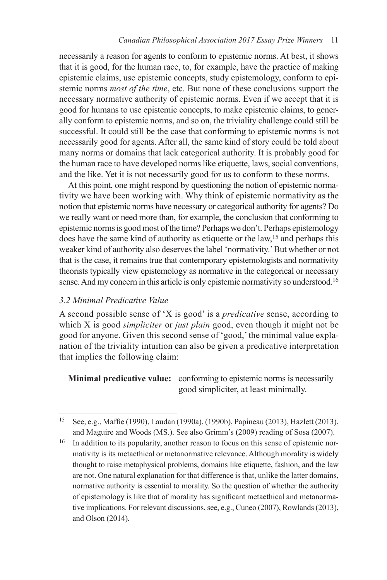necessarily a reason for agents to conform to epistemic norms. At best, it shows that it is good, for the human race, to, for example, have the practice of making epistemic claims, use epistemic concepts, study epistemology, conform to epistemic norms *most of the time* , etc. But none of these conclusions support the necessary normative authority of epistemic norms. Even if we accept that it is good for humans to use epistemic concepts, to make epistemic claims, to generally conform to epistemic norms, and so on, the triviality challenge could still be successful. It could still be the case that conforming to epistemic norms is not necessarily good for agents. After all, the same kind of story could be told about many norms or domains that lack categorical authority. It is probably good for the human race to have developed norms like etiquette, laws, social conventions, and the like. Yet it is not necessarily good for us to conform to these norms.

 At this point, one might respond by questioning the notion of epistemic normativity we have been working with. Why think of epistemic normativity as the notion that epistemic norms have necessary or categorical authority for agents? Do we really want or need more than, for example, the conclusion that conforming to epistemic norms is good most of the time? Perhaps we don't. Perhaps epistemology does have the same kind of authority as etiquette or the law,<sup>15</sup> and perhaps this weaker kind of authority also deserves the label 'normativity.' But whether or not that is the case, it remains true that contemporary epistemologists and normativity theorists typically view epistemology as normative in the categorical or necessary sense. And my concern in this article is only epistemic normativity so understood.<sup>16</sup>

## *3.2 Minimal Predicative Value*

 A second possible sense of 'X is good' is a *predicative* sense, according to which X is good *simpliciter* or *just plain* good, even though it might not be good for anyone. Given this second sense of 'good,' the minimal value explanation of the triviality intuition can also be given a predicative interpretation that implies the following claim:

 **Minimal predicative value:** conforming to epistemic norms is necessarily good simpliciter, at least minimally.

<sup>&</sup>lt;sup>15</sup> See, e.g., Maffie (1990), Laudan (1990a), (1990b), Papineau (2013), Hazlett (2013), and Maguire and Woods (MS.). See also Grimm's (2009) reading of Sosa (2007).

<sup>&</sup>lt;sup>16</sup> In addition to its popularity, another reason to focus on this sense of epistemic normativity is its metaethical or metanormative relevance. Although morality is widely thought to raise metaphysical problems, domains like etiquette, fashion, and the law are not. One natural explanation for that difference is that, unlike the latter domains, normative authority is essential to morality. So the question of whether the authority of epistemology is like that of morality has significant metaethical and metanormative implications. For relevant discussions, see, e.g., Cuneo (2007), Rowlands (2013), and Olson (2014).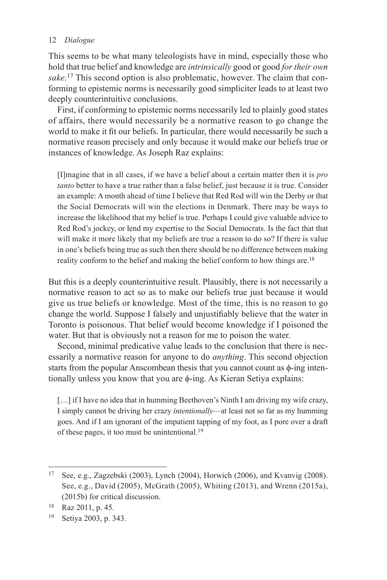This seems to be what many teleologists have in mind, especially those who hold that true belief and knowledge are *intrinsically* good or good *for their own*  sake.<sup>17</sup> This second option is also problematic, however. The claim that conforming to epistemic norms is necessarily good simpliciter leads to at least two deeply counterintuitive conclusions.

 First, if conforming to epistemic norms necessarily led to plainly good states of affairs, there would necessarily be a normative reason to go change the world to make it fit our beliefs. In particular, there would necessarily be such a normative reason precisely and only because it would make our beliefs true or instances of knowledge. As Joseph Raz explains:

 [I]magine that in all cases, if we have a belief about a certain matter then it is *pro tanto* better to have a true rather than a false belief, just because it is true. Consider an example: A month ahead of time I believe that Red Rod will win the Derby or that the Social Democrats will win the elections in Denmark. There may be ways to increase the likelihood that my belief is true. Perhaps I could give valuable advice to Red Rod's jockey, or lend my expertise to the Social Democrats. Is the fact that that will make it more likely that my beliefs are true a reason to do so? If there is value in one's beliefs being true as such then there should be no difference between making reality conform to the belief and making the belief conform to how things are. 18

But this is a deeply counterintuitive result. Plausibly, there is not necessarily a normative reason to act so as to make our beliefs true just because it would give us true beliefs or knowledge. Most of the time, this is no reason to go change the world. Suppose I falsely and unjustifiably believe that the water in Toronto is poisonous. That belief would become knowledge if I poisoned the water. But that is obviously not a reason for me to poison the water.

 Second, minimal predicative value leads to the conclusion that there is necessarily a normative reason for anyone to do *anything* . This second objection starts from the popular Anscombean thesis that you cannot count as φ-ing intentionally unless you know that you are ϕ -ing. As Kieran Setiya explains:

[...] if I have no idea that in humming Beethoven's Ninth I am driving my wife crazy, I simply cannot be driving her crazy *intentionally* —at least not so far as my humming goes. And if I am ignorant of the impatient tapping of my foot, as I pore over a draft of these pages, it too must be unintentional. 19

<sup>&</sup>lt;sup>17</sup> See, e.g., Zagzebski (2003), Lynch (2004), Horwich (2006), and Kvanvig (2008). See, e.g., David (2005), McGrath (2005), Whiting (2013), and Wrenn (2015a), (2015b) for critical discussion.

<sup>18</sup> Raz 2011, p. 45.

<sup>19</sup> Setiya 2003 , p. 343.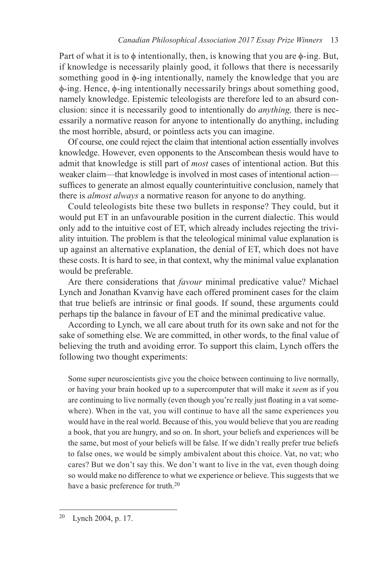Part of what it is to  $\phi$  intentionally, then, is knowing that you are  $\phi$ -ing. But, if knowledge is necessarily plainly good, it follows that there is necessarily something good in φ-ing intentionally, namely the knowledge that you are ϕ -ing. Hence, ϕ -ing intentionally necessarily brings about something good, namely knowledge. Epistemic teleologists are therefore led to an absurd conclusion: since it is necessarily good to intentionally do *anything,* there is necessarily a normative reason for anyone to intentionally do anything, including the most horrible, absurd, or pointless acts you can imagine.

 Of course, one could reject the claim that intentional action essentially involves knowledge. However, even opponents to the Anscombean thesis would have to admit that knowledge is still part of *most* cases of intentional action. But this weaker claim—that knowledge is involved in most cases of intentional action suffices to generate an almost equally counterintuitive conclusion, namely that there is *almost always* a normative reason for anyone to do anything.

 Could teleologists bite these two bullets in response? They could, but it would put ET in an unfavourable position in the current dialectic. This would only add to the intuitive cost of ET, which already includes rejecting the triviality intuition. The problem is that the teleological minimal value explanation is up against an alternative explanation, the denial of ET, which does not have these costs. It is hard to see, in that context, why the minimal value explanation would be preferable.

 Are there considerations that *favour* minimal predicative value? Michael Lynch and Jonathan Kvanvig have each offered prominent cases for the claim that true beliefs are intrinsic or final goods. If sound, these arguments could perhaps tip the balance in favour of ET and the minimal predicative value.

 According to Lynch, we all care about truth for its own sake and not for the sake of something else. We are committed, in other words, to the final value of believing the truth and avoiding error. To support this claim, Lynch offers the following two thought experiments:

 Some super neuroscientists give you the choice between continuing to live normally, or having your brain hooked up to a supercomputer that will make it *seem* as if you are continuing to live normally (even though you're really just floating in a vat somewhere). When in the vat, you will continue to have all the same experiences you would have in the real world. Because of this, you would believe that you are reading a book, that you are hungry, and so on. In short, your beliefs and experiences will be the same, but most of your beliefs will be false. If we didn't really prefer true beliefs to false ones, we would be simply ambivalent about this choice. Vat, no vat; who cares? But we don't say this. We don't want to live in the vat, even though doing so would make no difference to what we experience or believe. This suggests that we have a basic preference for truth.<sup>20</sup>

<sup>&</sup>lt;sup>20</sup> Lynch 2004, p. 17.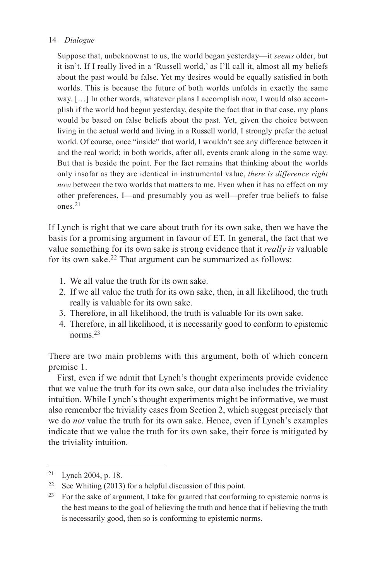Suppose that, unbeknownst to us, the world began yesterday—it *seems* older, but it isn't. If I really lived in a 'Russell world,' as I'll call it, almost all my beliefs about the past would be false. Yet my desires would be equally satisfied in both worlds. This is because the future of both worlds unfolds in exactly the same way. […] In other words, whatever plans I accomplish now, I would also accomplish if the world had begun yesterday, despite the fact that in that case, my plans would be based on false beliefs about the past. Yet, given the choice between living in the actual world and living in a Russell world, I strongly prefer the actual world. Of course, once "inside" that world, I wouldn't see any difference between it and the real world; in both worlds, after all, events crank along in the same way. But that is beside the point. For the fact remains that thinking about the worlds only insofar as they are identical in instrumental value, *there is difference right now* between the two worlds that matters to me. Even when it has no effect on my other preferences, I—and presumably you as well—prefer true beliefs to false ones. 21

If Lynch is right that we care about truth for its own sake, then we have the basis for a promising argument in favour of ET. In general, the fact that we value something for its own sake is strong evidence that it *really is* valuable for its own sake.<sup>22</sup> That argument can be summarized as follows:

- 1. We all value the truth for its own sake.
- 2. If we all value the truth for its own sake, then, in all likelihood, the truth really is valuable for its own sake.
- 3. Therefore, in all likelihood, the truth is valuable for its own sake.
- 4. Therefore, in all likelihood, it is necessarily good to conform to epistemic norms<sup>23</sup>

There are two main problems with this argument, both of which concern premise 1.

 First, even if we admit that Lynch's thought experiments provide evidence that we value the truth for its own sake, our data also includes the triviality intuition. While Lynch's thought experiments might be informative, we must also remember the triviality cases from Section 2, which suggest precisely that we do *not* value the truth for its own sake. Hence, even if Lynch's examples indicate that we value the truth for its own sake, their force is mitigated by the triviality intuition.

<sup>21</sup> Lynch 2004 , p. 18.

<sup>&</sup>lt;sup>22</sup> See Whiting (2013) for a helpful discussion of this point.

<sup>23</sup> For the sake of argument, I take for granted that conforming to epistemic norms is the best means to the goal of believing the truth and hence that if believing the truth is necessarily good, then so is conforming to epistemic norms.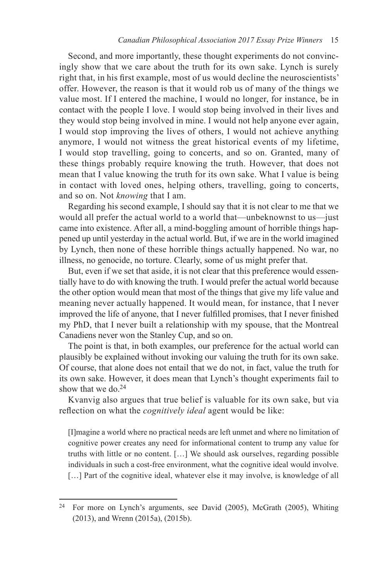Second, and more importantly, these thought experiments do not convincingly show that we care about the truth for its own sake. Lynch is surely right that, in his first example, most of us would decline the neuroscientists' offer. However, the reason is that it would rob us of many of the things we value most. If I entered the machine, I would no longer, for instance, be in contact with the people I love. I would stop being involved in their lives and they would stop being involved in mine. I would not help anyone ever again, I would stop improving the lives of others, I would not achieve anything anymore, I would not witness the great historical events of my lifetime, I would stop travelling, going to concerts, and so on. Granted, many of these things probably require knowing the truth. However, that does not mean that I value knowing the truth for its own sake. What I value is being in contact with loved ones, helping others, travelling, going to concerts, and so on. Not *knowing* that I am.

 Regarding his second example, I should say that it is not clear to me that we would all prefer the actual world to a world that—unbeknownst to us—just came into existence. After all, a mind-boggling amount of horrible things happened up until yesterday in the actual world. But, if we are in the world imagined by Lynch, then none of these horrible things actually happened. No war, no illness, no genocide, no torture. Clearly, some of us might prefer that.

 But, even if we set that aside, it is not clear that this preference would essentially have to do with knowing the truth. I would prefer the actual world because the other option would mean that most of the things that give my life value and meaning never actually happened. It would mean, for instance, that I never improved the life of anyone, that I never fulfilled promises, that I never finished my PhD, that I never built a relationship with my spouse, that the Montreal Canadiens never won the Stanley Cup, and so on.

 The point is that, in both examples, our preference for the actual world can plausibly be explained without invoking our valuing the truth for its own sake. Of course, that alone does not entail that we do not, in fact, value the truth for its own sake. However, it does mean that Lynch's thought experiments fail to show that we do.<sup>24</sup>

 Kvanvig also argues that true belief is valuable for its own sake, but via reflection on what the *cognitively ideal* agent would be like:

 [I]magine a world where no practical needs are left unmet and where no limitation of cognitive power creates any need for informational content to trump any value for truths with little or no content. […] We should ask ourselves, regarding possible individuals in such a cost-free environment, what the cognitive ideal would involve. [...] Part of the cognitive ideal, whatever else it may involve, is knowledge of all

<sup>&</sup>lt;sup>24</sup> For more on Lynch's arguments, see David (2005), McGrath (2005), Whiting  $(2013)$ , and Wrenn  $(2015a)$ ,  $(2015b)$ .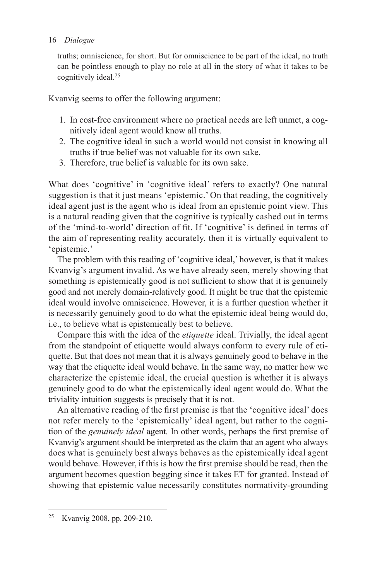truths; omniscience, for short. But for omniscience to be part of the ideal, no truth can be pointless enough to play no role at all in the story of what it takes to be cognitively ideal.<sup>25</sup>

Kvanvig seems to offer the following argument:

- 1. In cost-free environment where no practical needs are left unmet, a cognitively ideal agent would know all truths.
- 2. The cognitive ideal in such a world would not consist in knowing all truths if true belief was not valuable for its own sake.
- 3. Therefore, true belief is valuable for its own sake.

What does 'cognitive' in 'cognitive ideal' refers to exactly? One natural suggestion is that it just means 'epistemic.' On that reading, the cognitively ideal agent just is the agent who is ideal from an epistemic point view. This is a natural reading given that the cognitive is typically cashed out in terms of the 'mind-to-world' direction of fit. If 'cognitive' is defined in terms of the aim of representing reality accurately, then it is virtually equivalent to 'epistemic.'

 The problem with this reading of 'cognitive ideal,' however, is that it makes Kvanvig's argument invalid. As we have already seen, merely showing that something is epistemically good is not sufficient to show that it is genuinely good and not merely domain-relatively good. It might be true that the epistemic ideal would involve omniscience. However, it is a further question whether it is necessarily genuinely good to do what the epistemic ideal being would do, i.e., to believe what is epistemically best to believe.

 Compare this with the idea of the *etiquette* ideal. Trivially, the ideal agent from the standpoint of etiquette would always conform to every rule of etiquette. But that does not mean that it is always genuinely good to behave in the way that the etiquette ideal would behave. In the same way, no matter how we characterize the epistemic ideal, the crucial question is whether it is always genuinely good to do what the epistemically ideal agent would do. What the triviality intuition suggests is precisely that it is not.

An alternative reading of the first premise is that the 'cognitive ideal' does not refer merely to the 'epistemically' ideal agent, but rather to the cognition of the *genuinely ideal* agent. In other words, perhaps the first premise of Kvanvig's argument should be interpreted as the claim that an agent who always does what is genuinely best always behaves as the epistemically ideal agent would behave. However, if this is how the first premise should be read, then the argument becomes question begging since it takes ET for granted. Instead of showing that epistemic value necessarily constitutes normativity-grounding

<sup>25</sup> Kvanvig 2008 , pp. 209-210.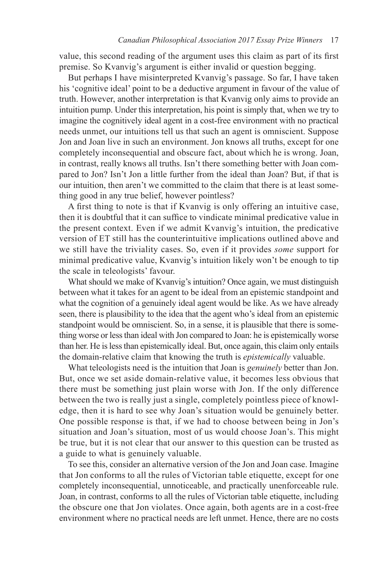value, this second reading of the argument uses this claim as part of its first premise. So Kvanvig's argument is either invalid or question begging.

 But perhaps I have misinterpreted Kvanvig's passage. So far, I have taken his 'cognitive ideal' point to be a deductive argument in favour of the value of truth. However, another interpretation is that Kvanvig only aims to provide an intuition pump. Under this interpretation, his point is simply that, when we try to imagine the cognitively ideal agent in a cost-free environment with no practical needs unmet, our intuitions tell us that such an agent is omniscient. Suppose Jon and Joan live in such an environment. Jon knows all truths, except for one completely inconsequential and obscure fact, about which he is wrong. Joan, in contrast, really knows all truths. Isn't there something better with Joan compared to Jon? Isn't Jon a little further from the ideal than Joan? But, if that is our intuition, then aren't we committed to the claim that there is at least something good in any true belief, however pointless?

A first thing to note is that if Kvanvig is only offering an intuitive case, then it is doubtful that it can suffice to vindicate minimal predicative value in the present context. Even if we admit Kvanvig's intuition, the predicative version of ET still has the counterintuitive implications outlined above and we still have the triviality cases. So, even if it provides *some* support for minimal predicative value, Kvanvig's intuition likely won't be enough to tip the scale in teleologists' favour.

 What should we make of Kvanvig's intuition? Once again, we must distinguish between what it takes for an agent to be ideal from an epistemic standpoint and what the cognition of a genuinely ideal agent would be like. As we have already seen, there is plausibility to the idea that the agent who's ideal from an epistemic standpoint would be omniscient. So, in a sense, it is plausible that there is something worse or less than ideal with Jon compared to Joan: he is epistemically worse than her. He is less than epistemically ideal. But, once again, this claim only entails the domain-relative claim that knowing the truth is *epistemically* valuable.

 What teleologists need is the intuition that Joan is *genuinely* better than Jon. But, once we set aside domain-relative value, it becomes less obvious that there must be something just plain worse with Jon. If the only difference between the two is really just a single, completely pointless piece of knowledge, then it is hard to see why Joan's situation would be genuinely better. One possible response is that, if we had to choose between being in Jon's situation and Joan's situation, most of us would choose Joan's. This might be true, but it is not clear that our answer to this question can be trusted as a guide to what is genuinely valuable.

 To see this, consider an alternative version of the Jon and Joan case. Imagine that Jon conforms to all the rules of Victorian table etiquette, except for one completely inconsequential, unnoticeable, and practically unenforceable rule. Joan, in contrast, conforms to all the rules of Victorian table etiquette, including the obscure one that Jon violates. Once again, both agents are in a cost-free environment where no practical needs are left unmet. Hence, there are no costs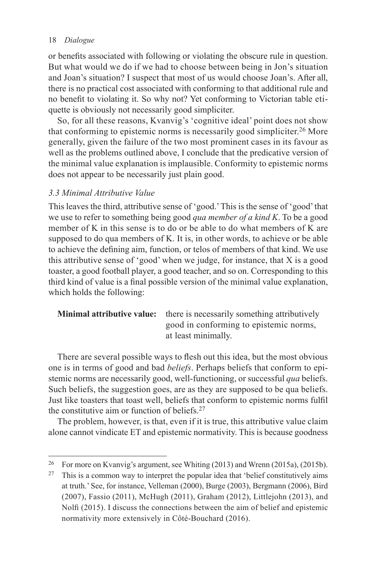or benefits associated with following or violating the obscure rule in question. But what would we do if we had to choose between being in Jon's situation and Joan's situation? I suspect that most of us would choose Joan's. After all, there is no practical cost associated with conforming to that additional rule and no benefit to violating it. So why not? Yet conforming to Victorian table etiquette is obviously not necessarily good simpliciter.

 So, for all these reasons, Kvanvig's 'cognitive ideal' point does not show that conforming to epistemic norms is necessarily good simpliciter. 26 More generally, given the failure of the two most prominent cases in its favour as well as the problems outlined above, I conclude that the predicative version of the minimal value explanation is implausible. Conformity to epistemic norms does not appear to be necessarily just plain good.

## *3.3 Minimal Attributive Value*

 This leaves the third, attributive sense of 'good.' This is the sense of 'good' that we use to refer to something being good *qua member of a kind K* . To be a good member of K in this sense is to do or be able to do what members of K are supposed to do qua members of K. It is, in other words, to achieve or be able to achieve the defining aim, function, or telos of members of that kind. We use this attributive sense of 'good' when we judge, for instance, that X is a good toaster, a good football player, a good teacher, and so on. Corresponding to this third kind of value is a final possible version of the minimal value explanation, which holds the following:

# **Minimal attributive value:** there is necessarily something attributively good in conforming to epistemic norms, at least minimally.

There are several possible ways to flesh out this idea, but the most obvious one is in terms of good and bad *beliefs* . Perhaps beliefs that conform to epistemic norms are necessarily good, well-functioning, or successful *qua* beliefs. Such beliefs, the suggestion goes, are as they are supposed to be qua beliefs. Just like toasters that toast well, beliefs that conform to epistemic norms fulfil the constitutive aim or function of beliefs. 27

 The problem, however, is that, even if it is true, this attributive value claim alone cannot vindicate ET and epistemic normativity. This is because goodness

<sup>&</sup>lt;sup>26</sup> For more on Kvanvig's argument, see Whiting (2013) and Wrenn (2015a), (2015b).

 $27$  This is a common way to interpret the popular idea that 'belief constitutively aims at truth.' See, for instance, Velleman (2000), Burge (2003), Bergmann (2006), Bird ( 2007), Fassio ( 2011), McHugh ( 2011), Graham ( 2012), Littlejohn ( 2013), and Nolfi (2015). I discuss the connections between the aim of belief and epistemic normativity more extensively in Côté-Bouchard (2016).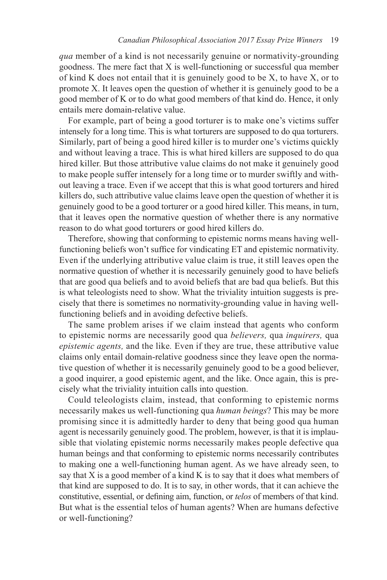*qua* member of a kind is not necessarily genuine or normativity-grounding goodness. The mere fact that X is well-functioning or successful qua member of kind K does not entail that it is genuinely good to be  $X$ , to have  $X$ , or to promote X. It leaves open the question of whether it is genuinely good to be a good member of K or to do what good members of that kind do. Hence, it only entails mere domain-relative value.

 For example, part of being a good torturer is to make one's victims suffer intensely for a long time. This is what torturers are supposed to do qua torturers. Similarly, part of being a good hired killer is to murder one's victims quickly and without leaving a trace. This is what hired killers are supposed to do qua hired killer. But those attributive value claims do not make it genuinely good to make people suffer intensely for a long time or to murder swiftly and without leaving a trace. Even if we accept that this is what good torturers and hired killers do, such attributive value claims leave open the question of whether it is genuinely good to be a good torturer or a good hired killer. This means, in turn, that it leaves open the normative question of whether there is any normative reason to do what good torturers or good hired killers do.

 Therefore, showing that conforming to epistemic norms means having wellfunctioning beliefs won't suffice for vindicating ET and epistemic normativity. Even if the underlying attributive value claim is true, it still leaves open the normative question of whether it is necessarily genuinely good to have beliefs that are good qua beliefs and to avoid beliefs that are bad qua beliefs. But this is what teleologists need to show. What the triviality intuition suggests is precisely that there is sometimes no normativity-grounding value in having wellfunctioning beliefs and in avoiding defective beliefs.

 The same problem arises if we claim instead that agents who conform to epistemic norms are necessarily good qua *believers,* qua *inquirers,* qua *epistemic agents,* and the like. Even if they are true, these attributive value claims only entail domain-relative goodness since they leave open the normative question of whether it is necessarily genuinely good to be a good believer, a good inquirer, a good epistemic agent, and the like. Once again, this is precisely what the triviality intuition calls into question.

 Could teleologists claim, instead, that conforming to epistemic norms necessarily makes us well-functioning qua *human beings* ? This may be more promising since it is admittedly harder to deny that being good qua human agent is necessarily genuinely good. The problem, however, is that it is implausible that violating epistemic norms necessarily makes people defective qua human beings and that conforming to epistemic norms necessarily contributes to making one a well-functioning human agent. As we have already seen, to say that X is a good member of a kind K is to say that it does what members of that kind are supposed to do. It is to say, in other words, that it can achieve the constitutive, essential, or defining aim, function, or *telos* of members of that kind. But what is the essential telos of human agents? When are humans defective or well-functioning?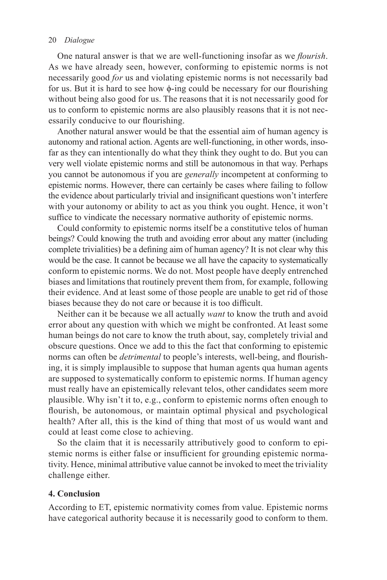One natural answer is that we are well-functioning insofar as we *flourish*. As we have already seen, however, conforming to epistemic norms is not necessarily good *for* us and violating epistemic norms is not necessarily bad for us. But it is hard to see how  $\phi$ -ing could be necessary for our flourishing without being also good for us. The reasons that it is not necessarily good for us to conform to epistemic norms are also plausibly reasons that it is not necessarily conducive to our flourishing.

 Another natural answer would be that the essential aim of human agency is autonomy and rational action. Agents are well-functioning, in other words, insofar as they can intentionally do what they think they ought to do. But you can very well violate epistemic norms and still be autonomous in that way. Perhaps you cannot be autonomous if you are *generally* incompetent at conforming to epistemic norms. However, there can certainly be cases where failing to follow the evidence about particularly trivial and insignificant questions won't interfere with your autonomy or ability to act as you think you ought. Hence, it won't suffice to vindicate the necessary normative authority of epistemic norms.

 Could conformity to epistemic norms itself be a constitutive telos of human beings? Could knowing the truth and avoiding error about any matter (including complete trivialities) be a defining aim of human agency? It is not clear why this would be the case. It cannot be because we all have the capacity to systematically conform to epistemic norms. We do not. Most people have deeply entrenched biases and limitations that routinely prevent them from, for example, following their evidence. And at least some of those people are unable to get rid of those biases because they do not care or because it is too difficult.

 Neither can it be because we all actually *want* to know the truth and avoid error about any question with which we might be confronted. At least some human beings do not care to know the truth about, say, completely trivial and obscure questions. Once we add to this the fact that conforming to epistemic norms can often be *detrimental* to people's interests, well-being, and flourishing, it is simply implausible to suppose that human agents qua human agents are supposed to systematically conform to epistemic norms. If human agency must really have an epistemically relevant telos, other candidates seem more plausible. Why isn't it to, e.g., conform to epistemic norms often enough to flourish, be autonomous, or maintain optimal physical and psychological health? After all, this is the kind of thing that most of us would want and could at least come close to achieving.

 So the claim that it is necessarily attributively good to conform to epistemic norms is either false or insufficient for grounding epistemic normativity. Hence, minimal attributive value cannot be invoked to meet the triviality challenge either.

## **4. Conclusion**

 According to ET, epistemic normativity comes from value. Epistemic norms have categorical authority because it is necessarily good to conform to them.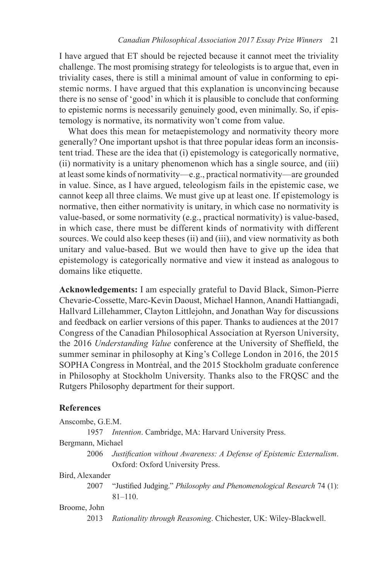I have argued that ET should be rejected because it cannot meet the triviality challenge. The most promising strategy for teleologists is to argue that, even in triviality cases, there is still a minimal amount of value in conforming to epistemic norms. I have argued that this explanation is unconvincing because there is no sense of 'good' in which it is plausible to conclude that conforming to epistemic norms is necessarily genuinely good, even minimally. So, if epistemology is normative, its normativity won't come from value.

What does this mean for metaepistemology and normativity theory more generally? One important upshot is that three popular ideas form an inconsistent triad. These are the idea that (i) epistemology is categorically normative, (ii) normativity is a unitary phenomenon which has a single source, and (iii) at least some kinds of normativity—e.g., practical normativity—are grounded in value. Since, as I have argued, teleologism fails in the epistemic case, we cannot keep all three claims. We must give up at least one. If epistemology is normative, then either normativity is unitary, in which case no normativity is value-based, or some normativity (e.g., practical normativity) is value-based, in which case, there must be different kinds of normativity with different sources. We could also keep theses (ii) and (iii), and view normativity as both unitary and value-based. But we would then have to give up the idea that epistemology is categorically normative and view it instead as analogous to domains like etiquette.

**Acknowledgements:** I am especially grateful to David Black, Simon-Pierre Chevarie-Cossette, Marc-Kevin Daoust, Michael Hannon, Anandi Hattiangadi, Hallvard Lillehammer, Clayton Littlejohn, and Jonathan Way for discussions and feedback on earlier versions of this paper. Thanks to audiences at the 2017 Congress of the Canadian Philosophical Association at Ryerson University, the 2016 *Understanding Value* conference at the University of Sheffield, the summer seminar in philosophy at King's College London in 2016, the 2015 SOPHA Congress in Montréal, and the 2015 Stockholm graduate conference in Philosophy at Stockholm University. Thanks also to the FRQSC and the Rutgers Philosophy department for their support.

#### **References**

| Anscombe, G.E.M. |  |
|------------------|--|
|------------------|--|

1957 *Intention*. Cambridge, MA: Harvard University Press.

#### Bergmann, Michael

2006 *Justification without Awareness: A Defense of Epistemic Externalism.* Oxford: Oxford University Press.

#### Bird, Alexander

2007 "Justified Judging." *Philosophy and Phenomenological Research* 74 (1):  $81 - 110$ .

## Broome, John

2013 Rationality through Reasoning. Chichester, UK: Wiley-Blackwell.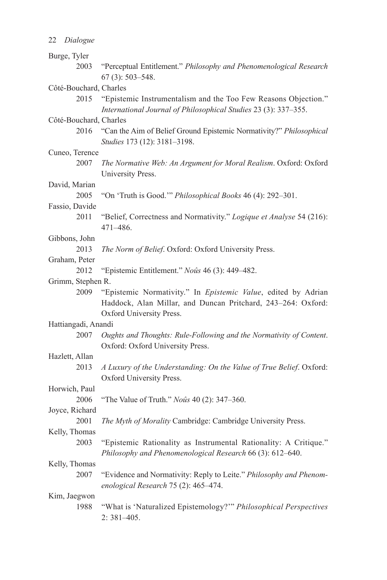|  | 22 Dialogue |  |  |
|--|-------------|--|--|
|--|-------------|--|--|

| Burge, Tyler           |                                                                                                                                   |
|------------------------|-----------------------------------------------------------------------------------------------------------------------------------|
| 2003                   | "Perceptual Entitlement." Philosophy and Phenomenological Research                                                                |
|                        | $67(3)$ : 503-548.                                                                                                                |
| Côté-Bouchard, Charles |                                                                                                                                   |
| 2015                   | "Epistemic Instrumentalism and the Too Few Reasons Objection."<br>International Journal of Philosophical Studies 23 (3): 337-355. |
| Côté-Bouchard, Charles |                                                                                                                                   |
| 2016                   | "Can the Aim of Belief Ground Epistemic Normativity?" Philosophical<br>Studies 173 (12): 3181-3198.                               |
| Cuneo, Terence         |                                                                                                                                   |
| 2007                   | The Normative Web: An Argument for Moral Realism. Oxford: Oxford<br>University Press.                                             |
| David, Marian          |                                                                                                                                   |
| 2005                   | "On 'Truth is Good."" Philosophical Books 46 (4): 292-301.                                                                        |
| Fassio, Davide         |                                                                                                                                   |
| 2011                   | "Belief, Correctness and Normativity." Logique et Analyse 54 (216):<br>471-486.                                                   |
| Gibbons, John          |                                                                                                                                   |
| 2013                   | The Norm of Belief. Oxford: Oxford University Press.                                                                              |
| Graham, Peter          |                                                                                                                                   |
| 2012                   | "Epistemic Entitlement." Noûs 46 (3): 449–482.                                                                                    |
| Grimm, Stephen R.      |                                                                                                                                   |
| 2009                   | "Epistemic Normativity." In Epistemic Value, edited by Adrian<br>Haddock, Alan Millar, and Duncan Pritchard, 243-264: Oxford:     |
|                        | Oxford University Press.                                                                                                          |
| Hattiangadi, Anandi    |                                                                                                                                   |
| 2007                   | Oughts and Thoughts: Rule-Following and the Normativity of Content.<br>Oxford: Oxford University Press.                           |
| Hazlett, Allan         |                                                                                                                                   |
| 2013                   | A Luxury of the Understanding: On the Value of True Belief. Oxford:<br>Oxford University Press.                                   |
| Horwich, Paul          |                                                                                                                                   |
| 2006                   | "The Value of Truth." Noûs 40 (2): 347-360.                                                                                       |
| Joyce, Richard         |                                                                                                                                   |
| 2001                   | The Myth of Morality Cambridge: Cambridge University Press.                                                                       |
| Kelly, Thomas          |                                                                                                                                   |
| 2003                   | "Epistemic Rationality as Instrumental Rationality: A Critique."<br>Philosophy and Phenomenological Research 66 (3): 612-640.     |
| Kelly, Thomas          |                                                                                                                                   |
| 2007                   | "Evidence and Normativity: Reply to Leite." Philosophy and Phenom-<br>enological Research 75 (2): 465-474.                        |
| Kim, Jaegwon           |                                                                                                                                   |
| 1988                   | "What is 'Naturalized Epistemology?"" Philosophical Perspectives<br>$2:381-405.$                                                  |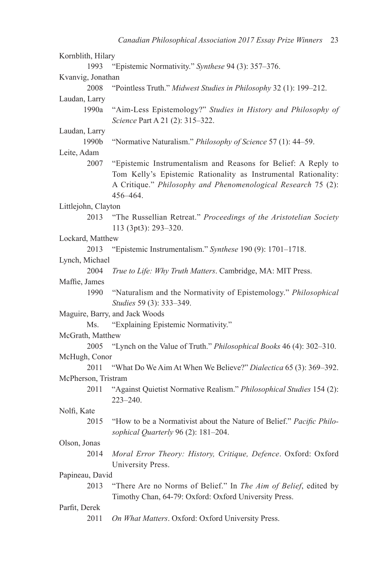| Kornblith, Hilary   |                                                                                                                                                                                                              |
|---------------------|--------------------------------------------------------------------------------------------------------------------------------------------------------------------------------------------------------------|
| 1993                | "Epistemic Normativity." Synthese 94 (3): 357-376.                                                                                                                                                           |
| Kvanvig, Jonathan   |                                                                                                                                                                                                              |
| 2008                | "Pointless Truth." Midwest Studies in Philosophy 32 (1): 199-212.                                                                                                                                            |
| Laudan, Larry       |                                                                                                                                                                                                              |
| 1990a               | "Aim-Less Epistemology?" Studies in History and Philosophy of<br>Science Part A 21 (2): 315-322.                                                                                                             |
| Laudan, Larry       |                                                                                                                                                                                                              |
| 1990b               | "Normative Naturalism." Philosophy of Science 57 (1): 44-59.                                                                                                                                                 |
| Leite, Adam         |                                                                                                                                                                                                              |
| 2007                | "Epistemic Instrumentalism and Reasons for Belief: A Reply to<br>Tom Kelly's Epistemic Rationality as Instrumental Rationality:<br>A Critique." Philosophy and Phenomenological Research 75 (2):<br>456-464. |
| Littlejohn, Clayton |                                                                                                                                                                                                              |
| 2013                | "The Russellian Retreat." Proceedings of the Aristotelian Society<br>113 (3pt3): 293-320.                                                                                                                    |
| Lockard, Matthew    |                                                                                                                                                                                                              |
| 2013                | "Epistemic Instrumentalism." Synthese 190 (9): 1701-1718.                                                                                                                                                    |
| Lynch, Michael      |                                                                                                                                                                                                              |
| 2004                | True to Life: Why Truth Matters. Cambridge, MA: MIT Press.                                                                                                                                                   |
| Maffie, James       |                                                                                                                                                                                                              |
| 1990                | "Naturalism and the Normativity of Epistemology." Philosophical<br>Studies 59 (3): 333-349.                                                                                                                  |
|                     | Maguire, Barry, and Jack Woods                                                                                                                                                                               |
| Ms.                 | "Explaining Epistemic Normativity."                                                                                                                                                                          |
| McGrath, Matthew    |                                                                                                                                                                                                              |
| 2005                | "Lynch on the Value of Truth." Philosophical Books 46 (4): 302-310.                                                                                                                                          |
| McHugh, Conor       |                                                                                                                                                                                                              |
| 2011                | "What Do We Aim At When We Believe?" Dialectica 65 (3): 369-392.                                                                                                                                             |
| McPherson, Tristram |                                                                                                                                                                                                              |
| 2011                | "Against Quietist Normative Realism." Philosophical Studies 154 (2):<br>$223 - 240$ .                                                                                                                        |
| Nolfi, Kate         |                                                                                                                                                                                                              |
| 2015                | "How to be a Normativist about the Nature of Belief." Pacific Philo-<br>sophical Quarterly 96 (2): 181-204.                                                                                                  |
| Olson, Jonas        |                                                                                                                                                                                                              |
|                     | 2014 Moral Error Theory: History, Critique, Defence. Oxford: Oxford<br>University Press.                                                                                                                     |
| Papineau, David     |                                                                                                                                                                                                              |
| 2013                | "There Are no Norms of Belief." In The Aim of Belief, edited by<br>Timothy Chan, 64-79: Oxford: Oxford University Press.                                                                                     |
| Parfit, Derek       |                                                                                                                                                                                                              |
| 2011                | On What Matters. Oxford: Oxford University Press.                                                                                                                                                            |